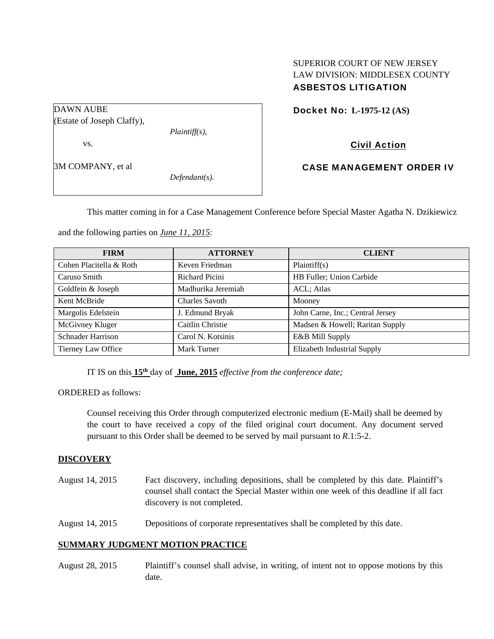## SUPERIOR COURT OF NEW JERSEY LAW DIVISION: MIDDLESEX COUNTY ASBESTOS LITIGATION

Docket No: **L-1975-12 (AS)** 

Civil Action

3M COMPANY, et al

*Defendant(s).* 

*Plaintiff(s),* 

CASE MANAGEMENT ORDER IV

This matter coming in for a Case Management Conference before Special Master Agatha N. Dzikiewicz

and the following parties on *June 11, 2015*:

| <b>FIRM</b>              | <b>ATTORNEY</b>       | <b>CLIENT</b>                    |
|--------------------------|-----------------------|----------------------------------|
| Cohen Placitella & Roth  | Keven Friedman        | Plaintiff(s)                     |
| Caruso Smith             | Richard Picini        | HB Fuller; Union Carbide         |
| Goldfein & Joseph        | Madhurika Jeremiah    | ACL; Atlas                       |
| Kent McBride             | <b>Charles Savoth</b> | Mooney                           |
| Margolis Edelstein       | J. Edmund Bryak       | John Carne, Inc.; Central Jersey |
| McGivney Kluger          | Caitlin Christie      | Madsen & Howell; Raritan Supply  |
| <b>Schnader Harrison</b> | Carol N. Kotsinis     | E&B Mill Supply                  |
| Tierney Law Office       | Mark Turner           | Elizabeth Industrial Supply      |

IT IS on this **15th** day of **June, 2015** *effective from the conference date;*

ORDERED as follows:

Counsel receiving this Order through computerized electronic medium (E-Mail) shall be deemed by the court to have received a copy of the filed original court document. Any document served pursuant to this Order shall be deemed to be served by mail pursuant to *R*.1:5-2.

## **DISCOVERY**

- August 14, 2015 Fact discovery, including depositions, shall be completed by this date. Plaintiff's counsel shall contact the Special Master within one week of this deadline if all fact discovery is not completed.
- August 14, 2015 Depositions of corporate representatives shall be completed by this date.

## **SUMMARY JUDGMENT MOTION PRACTICE**

August 28, 2015 Plaintiff's counsel shall advise, in writing, of intent not to oppose motions by this date.

DAWN AUBE (Estate of Joseph Claffy),

vs.